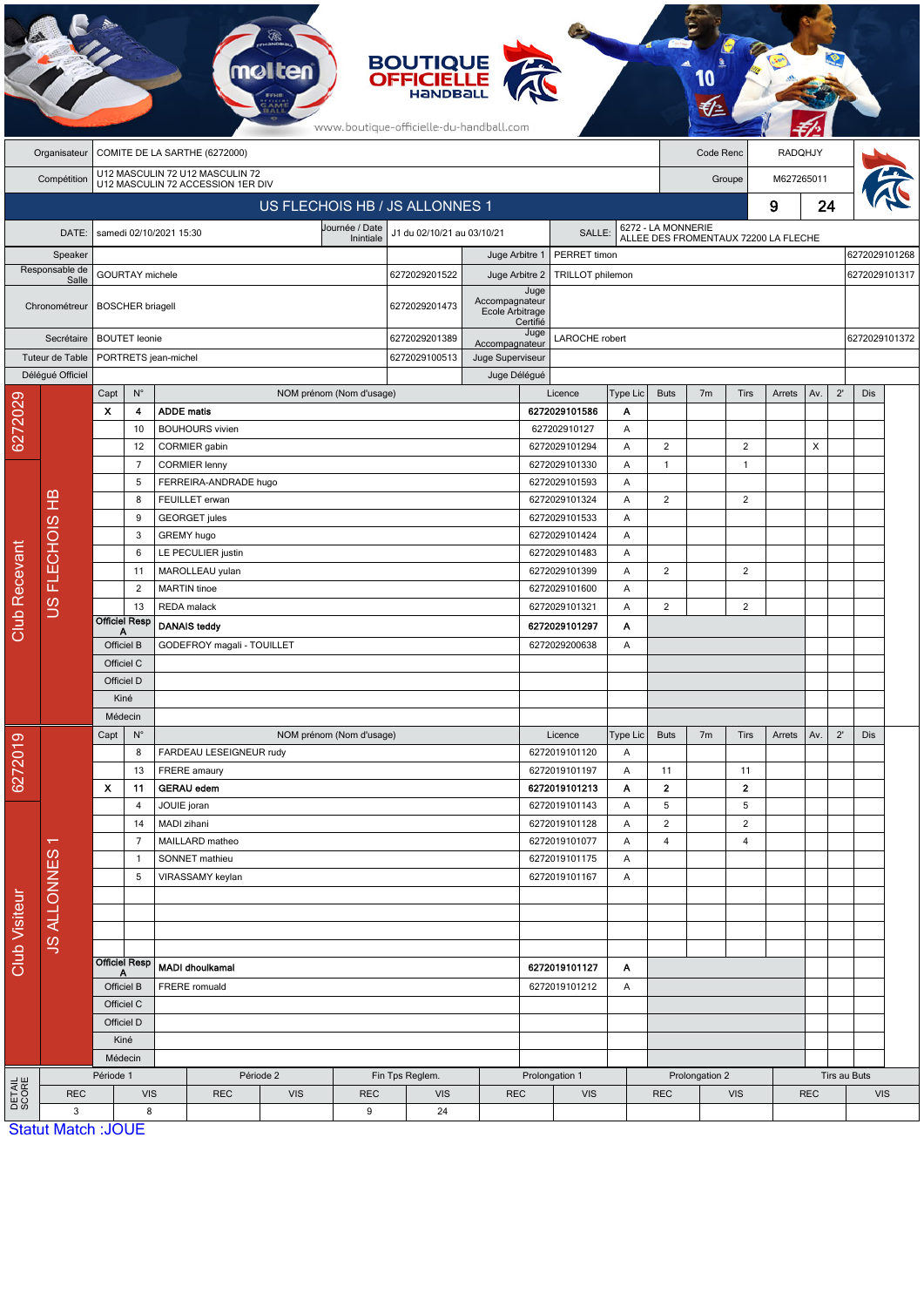|                      |                           |                                                                |                                                                      |                                                   |                               |                          |               | <b>BOUTIQUE<br/>OFFICIELLE</b><br>www.boutique-officielle-du-handball.com |                                |                                |                                |                 |                         |                                                            |                     |        |                                |              |              |  |
|----------------------|---------------------------|----------------------------------------------------------------|----------------------------------------------------------------------|---------------------------------------------------|-------------------------------|--------------------------|---------------|---------------------------------------------------------------------------|--------------------------------|--------------------------------|--------------------------------|-----------------|-------------------------|------------------------------------------------------------|---------------------|--------|--------------------------------|--------------|--------------|--|
|                      | Organisateur              |                                                                |                                                                      |                                                   | COMITE DE LA SARTHE (6272000) |                          |               |                                                                           |                                |                                |                                |                 | Code Renc<br>RADQHJY    |                                                            |                     |        |                                |              |              |  |
|                      | Compétition               |                                                                | U12 MASCULIN 72 U12 MASCULIN 72<br>U12 MASCULIN 72 ACCESSION 1ER DIV |                                                   |                               |                          |               |                                                                           |                                |                                |                                |                 | M627265011<br>Groupe    |                                                            |                     |        |                                |              |              |  |
|                      |                           |                                                                |                                                                      |                                                   |                               |                          |               | US FLECHOIS HB / JS ALLONNES 1                                            |                                |                                |                                |                 |                         |                                                            | 9                   | 24     |                                |              |              |  |
|                      | DATE:                     | Journée / Date<br>samedi 02/10/2021 15:30                      |                                                                      |                                                   |                               |                          |               | J1 du 02/10/21 au 03/10/21<br><b>SALLE</b>                                |                                |                                |                                |                 |                         |                                                            |                     |        |                                |              |              |  |
|                      | Speaker                   |                                                                | Inintiale                                                            |                                                   |                               |                          |               |                                                                           |                                | PERRET timon<br>Juge Arbitre 1 |                                |                 |                         | 6272 - LA MONNERIE<br>ALLEE DES FROMENTAUX 72200 LA FLECHE |                     |        |                                |              |              |  |
| Responsable de       |                           | GOURTAY michele                                                |                                                                      |                                                   |                               |                          | 6272029201522 | Juge Arbitre 2                                                            |                                | TRILLOT philemon               |                                |                 |                         |                                                            |                     |        | 6272029101268<br>6272029101317 |              |              |  |
|                      | Salle<br>Chronométreur    | <b>BOSCHER</b> briagell                                        |                                                                      |                                                   |                               |                          | 6272029201473 | Accompagnateur<br>Ecole Arbitrage                                         | Juge                           | Certifié                       |                                |                 |                         |                                                            |                     |        |                                |              |              |  |
|                      | Secrétaire                |                                                                | <b>BOUTET</b> leonie                                                 |                                                   |                               |                          |               | 6272029201389                                                             | Accompagnateur                 | Juge                           | LAROCHE robert                 |                 |                         |                                                            | 6272029101372       |        |                                |              |              |  |
|                      | Tuteur de Table           |                                                                | PORTRETS jean-michel                                                 |                                                   |                               |                          |               | 6272029100513                                                             | Juge Superviseur               |                                |                                |                 |                         |                                                            |                     |        |                                |              |              |  |
|                      | Délégué Officiel          |                                                                |                                                                      |                                                   |                               |                          |               |                                                                           |                                | Juge Délégué                   |                                |                 |                         |                                                            |                     |        |                                |              |              |  |
|                      |                           | Capt                                                           | $N^{\circ}$                                                          |                                                   |                               | NOM prénom (Nom d'usage) |               |                                                                           |                                |                                | Licence                        | <b>Type Lic</b> | <b>Buts</b>             | 7 <sub>m</sub>                                             | Tirs                | Arrets | Av.                            | $2^{\prime}$ | Dis          |  |
| 6272029              |                           | x                                                              | 4<br>10                                                              | <b>ADDE matis</b>                                 | <b>BOUHOURS</b> vivien        |                          |               |                                                                           |                                |                                | 6272029101586<br>627202910127  | А<br>Α          |                         |                                                            |                     |        |                                |              |              |  |
|                      |                           |                                                                | 12                                                                   |                                                   | CORMIER gabin                 |                          |               |                                                                           |                                |                                | 6272029101294                  | Α               | $\overline{\mathbf{c}}$ |                                                            | 2                   |        | X                              |              |              |  |
|                      |                           | 7                                                              |                                                                      |                                                   | <b>CORMIER lenny</b>          |                          |               |                                                                           |                                |                                | 6272029101330<br>Α             |                 | $\mathbf{1}$            |                                                            | $\overline{1}$      |        |                                |              |              |  |
|                      |                           |                                                                | 5                                                                    |                                                   | FERREIRA-ANDRADE hugo         |                          |               |                                                                           |                                |                                | 6272029101593                  | Α               |                         |                                                            |                     |        |                                |              |              |  |
|                      | മ<br>Ξ                    |                                                                | 8                                                                    |                                                   | FEUILLET erwan                |                          |               |                                                                           |                                |                                | 6272029101324                  | A               | $\overline{2}$          |                                                            | $\overline{2}$      |        |                                |              |              |  |
|                      |                           |                                                                | <b>GEORGET</b> jules<br>9                                            |                                                   |                               |                          |               |                                                                           |                                |                                | 6272029101533                  | Α               |                         |                                                            |                     |        |                                |              |              |  |
|                      | <b>FLECHOIS</b>           |                                                                | 3                                                                    | GREMY hugo                                        |                               |                          |               |                                                                           |                                |                                | 6272029101424                  | Α               |                         |                                                            |                     |        |                                |              |              |  |
|                      |                           |                                                                | LE PECULIER justin<br>6                                              |                                                   |                               |                          |               |                                                                           |                                |                                | 6272029101483                  | A               |                         |                                                            |                     |        |                                |              |              |  |
|                      |                           |                                                                | 11                                                                   |                                                   | MAROLLEAU yulan               |                          |               |                                                                           |                                |                                | 6272029101399                  | A               | 2                       |                                                            | 2                   |        |                                |              |              |  |
|                      |                           |                                                                | $\overline{2}$                                                       | <b>MARTIN</b> tinoe                               |                               |                          |               |                                                                           |                                |                                | 6272029101600                  | Α               |                         |                                                            |                     |        |                                |              |              |  |
| <b>Club Recevant</b> | SC                        |                                                                | 13<br><b>Officiel Resp</b>                                           | REDA malack                                       |                               |                          |               |                                                                           |                                |                                | 6272029101321                  | Α               | $\overline{2}$          |                                                            | 2                   |        |                                |              |              |  |
|                      |                           | А<br>Officiel B                                                |                                                                      | <b>DANAIS teddy</b><br>GODEFROY magali - TOUILLET |                               |                          |               |                                                                           |                                | 6272029101297<br>6272029200638 | Α                              |                 |                         |                                                            |                     |        |                                |              |              |  |
|                      |                           |                                                                | Officiel C                                                           |                                                   |                               |                          |               |                                                                           |                                |                                |                                | A               |                         |                                                            |                     |        |                                |              |              |  |
|                      |                           |                                                                | Officiel D                                                           |                                                   |                               |                          |               |                                                                           |                                |                                |                                |                 |                         |                                                            |                     |        |                                |              |              |  |
|                      |                           | Kiné                                                           |                                                                      |                                                   |                               |                          |               |                                                                           |                                |                                |                                |                 |                         |                                                            |                     |        |                                |              |              |  |
|                      |                           | Médecin                                                        |                                                                      |                                                   |                               |                          |               |                                                                           |                                |                                |                                |                 |                         |                                                            |                     |        |                                |              |              |  |
| စ                    |                           | Capt<br>$N^{\circ}$                                            |                                                                      | NOM prénom (Nom d'usage)                          |                               |                          |               |                                                                           |                                |                                | Licence                        | Type Lic        | <b>Buts</b>             | 7 <sub>m</sub>                                             | Tirs                | Arrets | Av.                            | $2^{\prime}$ | Dis          |  |
| 627201               |                           |                                                                | 8                                                                    |                                                   | FARDEAU LESEIGNEUR rudy       |                          |               |                                                                           |                                |                                | 6272019101120                  | Α               |                         |                                                            |                     |        |                                |              |              |  |
|                      |                           |                                                                | 13                                                                   | FRERE amaury                                      |                               |                          |               |                                                                           |                                |                                | 6272019101197                  | Α               | 11                      |                                                            | 11                  |        |                                |              |              |  |
|                      |                           | X                                                              | 11                                                                   | <b>GERAU edem</b>                                 |                               |                          |               |                                                                           |                                |                                | 6272019101213                  | Α               | $\mathbf{2}$            |                                                            | $\mathbf{2}$        |        |                                |              |              |  |
|                      | ┯<br><b>JS ALLONNES</b>   |                                                                | 4<br>14                                                              | JOUIE joran<br>MADI zihani                        |                               |                          |               |                                                                           |                                |                                | 6272019101143<br>6272019101128 | Α<br>Α          | 5<br>2                  |                                                            | 5<br>$\overline{c}$ |        |                                |              |              |  |
|                      |                           |                                                                | $\overline{7}$                                                       |                                                   | MAILLARD matheo               |                          |               |                                                                           |                                |                                | 6272019101077                  | Α               | 4                       |                                                            | 4                   |        |                                |              |              |  |
| Club Visiteur        |                           |                                                                | $\mathbf{1}$                                                         |                                                   | SONNET mathieu                |                          |               |                                                                           |                                |                                | 6272019101175                  | Α               |                         |                                                            |                     |        |                                |              |              |  |
|                      |                           |                                                                | 5                                                                    |                                                   | VIRASSAMY keylan              |                          |               |                                                                           |                                |                                | 6272019101167                  | Α               |                         |                                                            |                     |        |                                |              |              |  |
|                      |                           |                                                                |                                                                      |                                                   |                               |                          |               |                                                                           |                                |                                |                                |                 |                         |                                                            |                     |        |                                |              |              |  |
|                      |                           |                                                                |                                                                      |                                                   |                               |                          |               |                                                                           |                                |                                |                                |                 |                         |                                                            |                     |        |                                |              |              |  |
|                      |                           |                                                                |                                                                      |                                                   |                               |                          |               |                                                                           |                                |                                |                                |                 |                         |                                                            |                     |        |                                |              |              |  |
|                      |                           |                                                                |                                                                      |                                                   |                               |                          |               |                                                                           |                                |                                |                                |                 |                         |                                                            |                     |        |                                |              |              |  |
|                      |                           | <b>Officiel Resp</b><br>Officiel B<br>Officiel C<br>Officiel D |                                                                      | <b>MADI dhoulkamal</b><br><b>FRERE</b> romuald    |                               |                          |               |                                                                           | 6272019101127<br>6272019101212 |                                | A                              |                 |                         |                                                            |                     |        |                                |              |              |  |
|                      |                           |                                                                |                                                                      |                                                   |                               |                          |               |                                                                           |                                |                                | Α                              |                 |                         |                                                            |                     |        |                                |              |              |  |
|                      |                           |                                                                |                                                                      |                                                   |                               |                          |               |                                                                           |                                |                                |                                |                 |                         |                                                            |                     |        |                                |              |              |  |
|                      |                           |                                                                | Kiné                                                                 |                                                   |                               |                          |               |                                                                           |                                |                                |                                |                 |                         |                                                            |                     |        |                                |              |              |  |
|                      |                           |                                                                | Médecin                                                              |                                                   |                               |                          |               |                                                                           |                                |                                |                                |                 |                         |                                                            |                     |        |                                |              |              |  |
|                      |                           | Période 1                                                      |                                                                      | Période 2                                         |                               |                          |               | Fin Tps Reglem.                                                           |                                | Prolongation 1                 |                                |                 |                         | Prolongation 2                                             |                     |        |                                |              | Tirs au Buts |  |
| DETAIL<br>SCORE      | <b>REC</b>                | <b>VIS</b>                                                     |                                                                      |                                                   | <b>REC</b>                    | <b>VIS</b>               | <b>REC</b>    |                                                                           | <b>REC</b>                     |                                | <b>VIS</b>                     |                 | <b>REC</b>              | <b>VIS</b>                                                 |                     |        | <b>REC</b><br><b>VIS</b>       |              |              |  |
|                      | 3                         | 8                                                              |                                                                      | 9                                                 |                               | 24                       |               |                                                                           |                                |                                |                                |                 |                         |                                                            |                     |        |                                |              |              |  |
|                      | <b>Statut Match: JOUE</b> |                                                                |                                                                      |                                                   |                               |                          |               |                                                                           |                                |                                |                                |                 |                         |                                                            |                     |        |                                |              |              |  |

Statut Match :JOUE